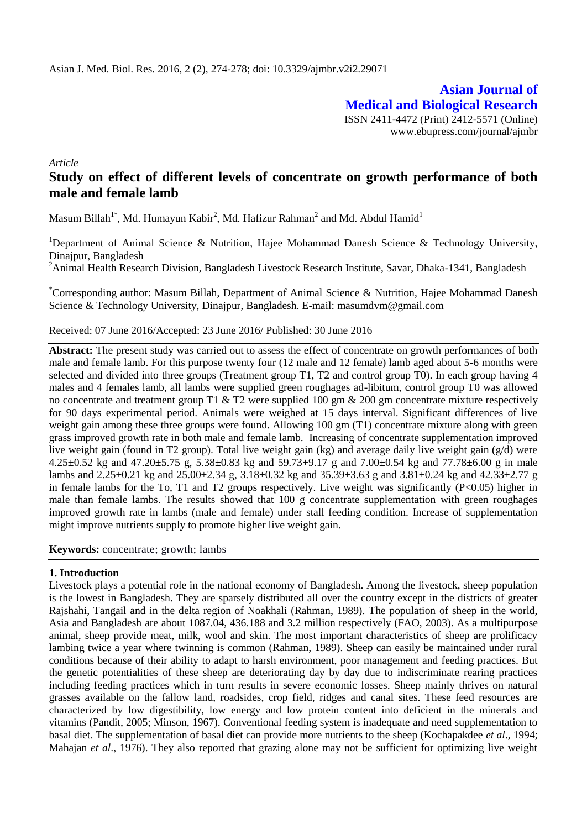**Asian Journal of Medical and Biological Research** ISSN 2411-4472 (Print) 2412-5571 (Online) www.ebupress.com/journal/ajmbr

*Article*

# **Study on effect of different levels of concentrate on growth performance of both male and female lamb**

Masum Billah<sup>1\*</sup>, Md. Humayun Kabir<sup>2</sup>, Md. Hafizur Rahman<sup>2</sup> and Md. Abdul Hamid<sup>1</sup>

<sup>1</sup>Department of Animal Science & Nutrition, Hajee Mohammad Danesh Science & Technology University, Dinajpur, Bangladesh

<sup>2</sup>Animal Health Research Division, Bangladesh Livestock Research Institute, Savar, Dhaka-1341, Bangladesh

\*Corresponding author: Masum Billah, Department of Animal Science & Nutrition, Hajee Mohammad Danesh Science & Technology University, Dinajpur, Bangladesh. E-mail: [masumdvm@gmail.com](mailto:masumdvm@gmail.com)

#### Received: 07 June 2016/Accepted: 23 June 2016/ Published: 30 June 2016

**Abstract:** The present study was carried out to assess the effect of concentrate on growth performances of both male and female lamb. For this purpose twenty four (12 male and 12 female) lamb aged about 5-6 months were selected and divided into three groups (Treatment group T1, T2 and control group T0). In each group having 4 males and 4 females lamb, all lambs were supplied green roughages ad-libitum, control group T0 was allowed no concentrate and treatment group T1  $&$  T2 were supplied 100 gm  $&$  200 gm concentrate mixture respectively for 90 days experimental period. Animals were weighed at 15 days interval. Significant differences of live weight gain among these three groups were found. Allowing 100 gm (T1) concentrate mixture along with green grass improved growth rate in both male and female lamb. Increasing of concentrate supplementation improved live weight gain (found in T2 group). Total live weight gain (kg) and average daily live weight gain (g/d) were 4.25±0.52 kg and 47.20±5.75 g, 5.38±0.83 kg and 59.73+9.17 g and 7.00±0.54 kg and 77.78±6.00 g in male lambs and 2.25±0.21 kg and 25.00±2.34 g, 3.18±0.32 kg and 35.39±3.63 g and 3.81±0.24 kg and 42.33±2.77 g in female lambs for the To, T1 and T2 groups respectively. Live weight was significantly (P<0.05) higher in male than female lambs. The results showed that 100 g concentrate supplementation with green roughages improved growth rate in lambs (male and female) under stall feeding condition. Increase of supplementation might improve nutrients supply to promote higher live weight gain.

**Keywords:** concentrate; growth; lambs

#### **1. Introduction**

Livestock plays a potential role in the national economy of Bangladesh. Among the livestock, sheep population is the lowest in Bangladesh. They are sparsely distributed all over the country except in the districts of greater Rajshahi, Tangail and in the delta region of Noakhali (Rahman, 1989). The population of sheep in the world, Asia and Bangladesh are about 1087.04, 436.188 and 3.2 million respectively (FAO, 2003). As a multipurpose animal, sheep provide meat, milk, wool and skin. The most important characteristics of sheep are prolificacy lambing twice a year where twinning is common (Rahman, 1989). Sheep can easily be maintained under rural conditions because of their ability to adapt to harsh environment, poor management and feeding practices. But the genetic potentialities of these sheep are deteriorating day by day due to indiscriminate rearing practices including feeding practices which in turn results in severe economic losses. Sheep mainly thrives on natural grasses available on the fallow land, roadsides, crop field, ridges and canal sites. These feed resources are characterized by low digestibility, low energy and low protein content into deficient in the minerals and vitamins (Pandit, 2005; Minson, 1967). Conventional feeding system is inadequate and need supplementation to basal diet. The supplementation of basal diet can provide more nutrients to the sheep (Kochapakdee *et al*., 1994; Mahajan *et al*., 1976). They also reported that grazing alone may not be sufficient for optimizing live weight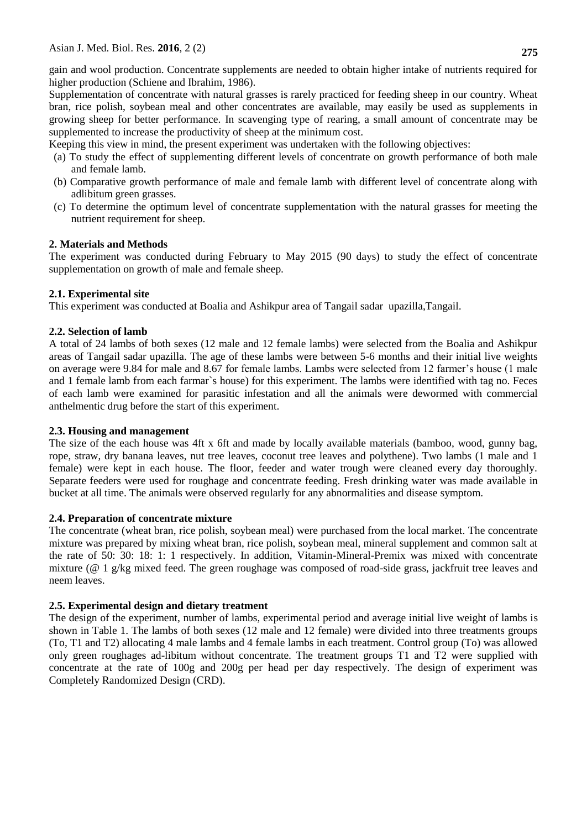gain and wool production. Concentrate supplements are needed to obtain higher intake of nutrients required for higher production (Schiene and Ibrahim, 1986).

Supplementation of concentrate with natural grasses is rarely practiced for feeding sheep in our country. Wheat bran, rice polish, soybean meal and other concentrates are available, may easily be used as supplements in growing sheep for better performance. In scavenging type of rearing, a small amount of concentrate may be supplemented to increase the productivity of sheep at the minimum cost.

Keeping this view in mind, the present experiment was undertaken with the following objectives:

- (a) To study the effect of supplementing different levels of concentrate on growth performance of both male and female lamb.
- (b) Comparative growth performance of male and female lamb with different level of concentrate along with adlibitum green grasses.
- (c) To determine the optimum level of concentrate supplementation with the natural grasses for meeting the nutrient requirement for sheep.

# **2. Materials and Methods**

The experiment was conducted during February to May 2015 (90 days) to study the effect of concentrate supplementation on growth of male and female sheep.

# **2.1. Experimental site**

This experiment was conducted at Boalia and Ashikpur area of Tangail sadar upazilla,Tangail.

# **2.2. Selection of lamb**

A total of 24 lambs of both sexes (12 male and 12 female lambs) were selected from the Boalia and Ashikpur areas of Tangail sadar upazilla. The age of these lambs were between 5-6 months and their initial live weights on average were 9.84 for male and 8.67 for female lambs. Lambs were selected from 12 farmer's house (1 male and 1 female lamb from each farmar`s house) for this experiment. The lambs were identified with tag no. Feces of each lamb were examined for parasitic infestation and all the animals were dewormed with commercial anthelmentic drug before the start of this experiment.

#### **2.3. Housing and management**

The size of the each house was 4ft x 6ft and made by locally available materials (bamboo, wood, gunny bag, rope, straw, dry banana leaves, nut tree leaves, coconut tree leaves and polythene). Two lambs (1 male and 1 female) were kept in each house. The floor, feeder and water trough were cleaned every day thoroughly. Separate feeders were used for roughage and concentrate feeding. Fresh drinking water was made available in bucket at all time. The animals were observed regularly for any abnormalities and disease symptom.

# **2.4. Preparation of concentrate mixture**

The concentrate (wheat bran, rice polish, soybean meal) were purchased from the local market. The concentrate mixture was prepared by mixing wheat bran, rice polish, soybean meal, mineral supplement and common salt at the rate of 50: 30: 18: 1: 1 respectively. In addition, Vitamin-Mineral-Premix was mixed with concentrate mixture (@ 1 g/kg mixed feed. The green roughage was composed of road-side grass, jackfruit tree leaves and neem leaves.

# **2.5. Experimental design and dietary treatment**

The design of the experiment, number of lambs, experimental period and average initial live weight of lambs is shown in Table 1. The lambs of both sexes (12 male and 12 female) were divided into three treatments groups (To, T1 and T2) allocating 4 male lambs and 4 female lambs in each treatment. Control group (To) was allowed only green roughages ad-libitum without concentrate. The treatment groups T1 and T2 were supplied with concentrate at the rate of 100g and 200g per head per day respectively. The design of experiment was Completely Randomized Design (CRD).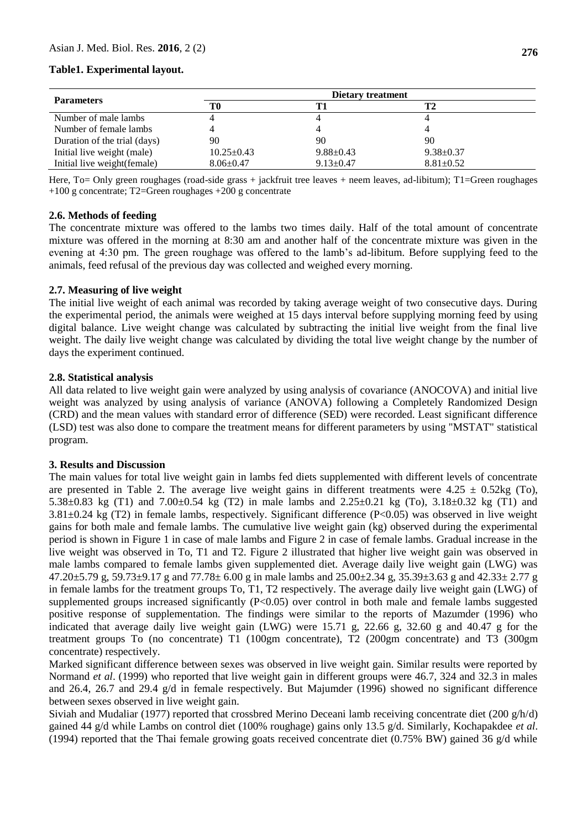#### **Table1. Experimental layout.**

|                              | Dietary treatment |                 |                 |  |  |
|------------------------------|-------------------|-----------------|-----------------|--|--|
| <b>Parameters</b>            | T0                |                 | T2              |  |  |
| Number of male lambs         |                   |                 |                 |  |  |
| Number of female lambs       |                   |                 |                 |  |  |
| Duration of the trial (days) | 90                | 90              | 90              |  |  |
| Initial live weight (male)   | $10.25 \pm 0.43$  | $9.88 \pm 0.43$ | $9.38 \pm 0.37$ |  |  |
| Initial live weight(female)  | $8.06 \pm 0.47$   | $9.13 \pm 0.47$ | $8.81 \pm 0.52$ |  |  |

Here, To= Only green roughages (road-side grass + jackfruit tree leaves + neem leaves, ad-libitum); T1=Green roughages +100 g concentrate; T2=Green roughages +200 g concentrate

#### **2.6. Methods of feeding**

The concentrate mixture was offered to the lambs two times daily. Half of the total amount of concentrate mixture was offered in the morning at 8:30 am and another half of the concentrate mixture was given in the evening at 4:30 pm. The green roughage was offered to the lamb's ad-libitum. Before supplying feed to the animals, feed refusal of the previous day was collected and weighed every morning.

#### **2.7. Measuring of live weight**

The initial live weight of each animal was recorded by taking average weight of two consecutive days. During the experimental period, the animals were weighed at 15 days interval before supplying morning feed by using digital balance. Live weight change was calculated by subtracting the initial live weight from the final live weight. The daily live weight change was calculated by dividing the total live weight change by the number of days the experiment continued.

#### **2.8. Statistical analysis**

All data related to live weight gain were analyzed by using analysis of covariance (ANOCOVA) and initial live weight was analyzed by using analysis of variance (ANOVA) following a Completely Randomized Design (CRD) and the mean values with standard error of difference (SED) were recorded. Least significant difference (LSD) test was also done to compare the treatment means for different parameters by using "MSTAT" statistical program.

#### **3. Results and Discussion**

The main values for total live weight gain in lambs fed diets supplemented with different levels of concentrate are presented in Table 2. The average live weight gains in different treatments were  $4.25 \pm 0.52$ kg (To), 5.38±0.83 kg (T1) and 7.00±0.54 kg (T2) in male lambs and 2.25±0.21 kg (To), 3.18±0.32 kg (T1) and  $3.81\pm0.24$  kg (T2) in female lambs, respectively. Significant difference (P<0.05) was observed in live weight gains for both male and female lambs. The cumulative live weight gain (kg) observed during the experimental period is shown in Figure 1 in case of male lambs and Figure 2 in case of female lambs. Gradual increase in the live weight was observed in To, T1 and T2. Figure 2 illustrated that higher live weight gain was observed in male lambs compared to female lambs given supplemented diet. Average daily live weight gain (LWG) was  $47.20 \pm 5.79$  g,  $59.73 \pm 9.17$  g and  $77.78 \pm 6.00$  g in male lambs and  $25.00 \pm 2.34$  g,  $35.39 \pm 3.63$  g and  $42.33 \pm 2.77$  g in female lambs for the treatment groups To, T1, T2 respectively. The average daily live weight gain (LWG) of supplemented groups increased significantly  $(P<0.05)$  over control in both male and female lambs suggested positive response of supplementation. The findings were similar to the reports of Mazumder (1996) who indicated that average daily live weight gain (LWG) were 15.71 g, 22.66 g, 32.60 g and 40.47 g for the treatment groups To (no concentrate) T1 (100gm concentrate), T2 (200gm concentrate) and T3 (300gm concentrate) respectively.

Marked significant difference between sexes was observed in live weight gain. Similar results were reported by Normand *et al*. (1999) who reported that live weight gain in different groups were 46.7, 324 and 32.3 in males and 26.4, 26.7 and 29.4 g/d in female respectively. But Majumder (1996) showed no significant difference between sexes observed in live weight gain.

Siviah and Mudaliar (1977) reported that crossbred Merino Deceani lamb receiving concentrate diet (200  $g/h/d$ ) gained 44 g/d while Lambs on control diet (100% roughage) gains only 13.5 g/d. Similarly, Kochapakdee *et al*. (1994) reported that the Thai female growing goats received concentrate diet (0.75% BW) gained 36 g/d while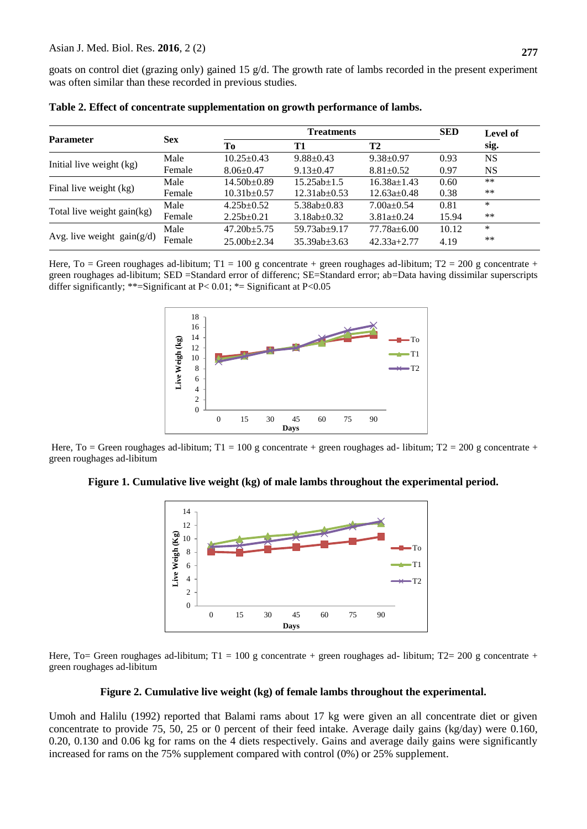goats on control diet (grazing only) gained 15 g/d. The growth rate of lambs recorded in the present experiment was often similar than these recorded in previous studies.

| <b>Parameter</b>             | <b>Sex</b> | <b>Treatments</b> |                    |                   | <b>SED</b> | Level of |
|------------------------------|------------|-------------------|--------------------|-------------------|------------|----------|
|                              |            | Tо                | T1                 | T2                |            | sig.     |
| Initial live weight (kg)     | Male       | $10.25 \pm 0.43$  | $9.88 \pm 0.43$    | $9.38 \pm 0.97$   | 0.93       | NS       |
|                              | Female     | $8.06 \pm 0.47$   | $9.13 \pm 0.47$    | $8.81 \pm 0.52$   | 0.97       | NS.      |
| Final live weight (kg)       | Male       | $14.50b \pm 0.89$ | $15.25ab+1.5$      | $16.38a+1.43$     | 0.60       | **       |
|                              | Female     | $10.31b \pm 0.57$ | $12.31ab \pm 0.53$ | $12.63a \pm 0.48$ | 0.38       | $***$    |
| Total live weight gain(kg)   | Male       | $4.25b + 0.52$    | $5.38ab + 0.83$    | $7.00a+0.54$      | 0.81       | *        |
|                              | Female     | $2.25b \pm 0.21$  | $3.18ab \pm 0.32$  | $3.81a \pm 0.24$  | 15.94      | $***$    |
| Avg. live weight $gain(g/d)$ | Male       | $47.20b+5.75$     | $59.73ab + 9.17$   | $77.78a + 6.00$   | 10.12      | *        |
|                              | Female     | $25.00b+2.34$     | $35.39ab + 3.63$   | $42.33a + 2.77$   | 4.19       | $***$    |

|  |  |  | Table 2. Effect of concentrate supplementation on growth performance of lambs. |  |
|--|--|--|--------------------------------------------------------------------------------|--|
|  |  |  |                                                                                |  |

Here, To = Green roughages ad-libitum; T1 = 100 g concentrate + green roughages ad-libitum; T2 = 200 g concentrate + green roughages ad-libitum; SED =Standard error of differenc; SE=Standard error; ab=Data having dissimilar superscripts differ significantly; \*\*=Significant at P<0.01; \*= Significant at P<0.05



Here, To = Green roughages ad-libitum; T1 = 100 g concentrate + green roughages ad- libitum; T2 = 200 g concentrate + green roughages ad-libitum

**Figure 1. Cumulative live weight (kg) of male lambs throughout the experimental period.**



Here, To= Green roughages ad-libitum; T1 = 100 g concentrate + green roughages ad- libitum; T2= 200 g concentrate + green roughages ad-libitum

#### **Figure 2. Cumulative live weight (kg) of female lambs throughout the experimental.**

Umoh and Halilu (1992) reported that Balami rams about 17 kg were given an all concentrate diet or given concentrate to provide 75, 50, 25 or 0 percent of their feed intake. Average daily gains (kg/day) were 0.160, 0.20, 0.130 and 0.06 kg for rams on the 4 diets respectively. Gains and average daily gains were significantly increased for rams on the 75% supplement compared with control (0%) or 25% supplement.